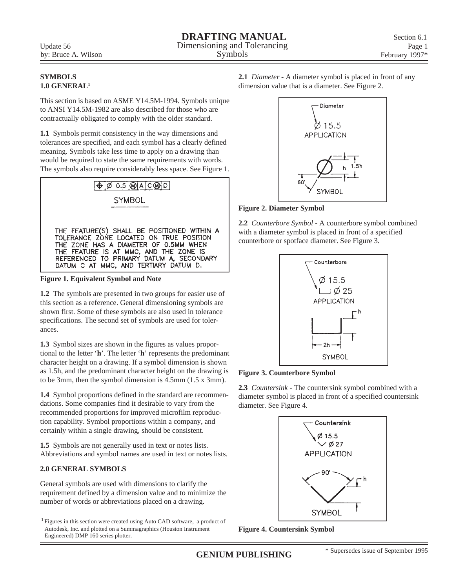## **SYMBOLS 1.0 GENERAL1**

This section is based on ASME Y14.5M-1994. Symbols unique to ANSI Y14.5M-1982 are also described for those who are contractually obligated to comply with the older standard.

**1.1** Symbols permit consistency in the way dimensions and tolerances are specified, and each symbol has a clearly defined meaning. Symbols take less time to apply on a drawing than would be required to state the same requirements with words. The symbols also require considerably less space. See Figure 1.



**Figure 1. Equivalent Symbol and Note**

**1.2** The symbols are presented in two groups for easier use of this section as a reference. General dimensioning symbols are shown first. Some of these symbols are also used in tolerance specifications. The second set of symbols are used for tolerances.

**1.3** Symbol sizes are shown in the figures as values proportional to the letter '**h**'. The letter '**h**' represents the predominant character height on a drawing. If a symbol dimension is shown as 1.5h, and the predominant character height on the drawing is to be 3mm, then the symbol dimension is 4.5mm (1.5 x 3mm).

**1.4** Symbol proportions defined in the standard are recommendations. Some companies find it desirable to vary from the recommended proportions for improved microfilm reproduction capability. Symbol proportions within a company, and certainly within a single drawing, should be consistent.

**1.5** Symbols are not generally used in text or notes lists. Abbreviations and symbol names are used in text or notes lists.

# **2.0 GENERAL SYMBOLS**

General symbols are used with dimensions to clarify the requirement defined by a dimension value and to minimize the number of words or abbreviations placed on a drawing.

**<sup>1</sup>**Figures in this section were created using Auto CAD software, a product of Autodesk, Inc. and plotted on a Summagraphics (Houston Instrument Engineered) DMP 160 series plotter.

**2.1** *Diameter* - A diameter symbol is placed in front of any dimension value that is a diameter. See Figure 2.



# **Figure 2. Diameter Symbol**

**2.2** *Counterbore Symbol* - A counterbore symbol combined with a diameter symbol is placed in front of a specified counterbore or spotface diameter. See Figure 3.



## **Figure 3. Counterbore Symbol**

**2.3** *Countersink* - The countersink symbol combined with a diameter symbol is placed in front of a specified countersink diameter. See Figure 4.



**Figure 4. Countersink Symbol**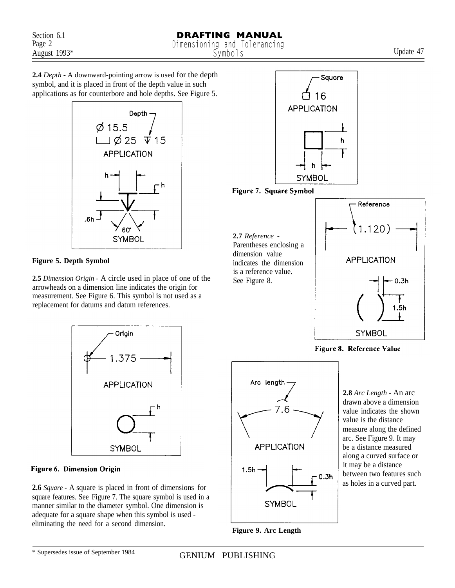**2.4** *Depth -* A downward-pointing arrow is used for the depth symbol, and it is placed in front of the depth value in such applications as for counterbore and hole depths. See Figure 5.



## **Figure 5. Depth Symbol**

**2.5** *Dimension Origin -* A circle used in place of one of the arrowheads on a dimension line indicates the origin for measurement. See Figure 6. This symbol is not used as a replacement for datums and datum references.



#### Figure 6. Dimension Origin

**2.6** *Square -* A square is placed in front of dimensions for square features. See Figure 7. The square symbol is used in a manner similar to the diameter symbol. One dimension is adequate for a square shape when this symbol is used eliminating the need for a second dimension.<br> **Figure 9. Arc Length** 



Figure 7. Square Symbol

**2.7** *Reference -* Parentheses enclosing a dimension value indicates the dimension is a reference value. See Figure 8.



Figure 8. Reference Value



**2.8** *Arc Length -* An arc drawn above a dimension value indicates the shown value is the distance measure along the defined arc. See Figure 9. It may be a distance measured along a curved surface or it may be a distance between two features such as holes in a curved part.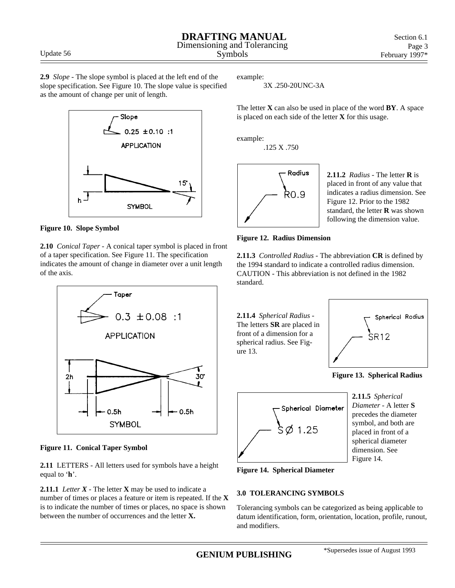**2.9** *Slope* - The slope symbol is placed at the left end of the slope specification. See Figure 10. The slope value is specified as the amount of change per unit of length.





**2.10** *Conical Taper* - A conical taper symbol is placed in front of a taper specification. See Figure 11. The specification indicates the amount of change in diameter over a unit length of the axis.



**Figure 11. Conical Taper Symbol**

**2.11** LETTERS - All letters used for symbols have a height equal to '**h**'.

**2.11.1** *Letter*  $X$  - The letter  $X$  may be used to indicate a number of times or places a feature or item is repeated. If the **X** is to indicate the number of times or places, no space is shown between the number of occurrences and the letter **X.**

example:

3X .250-20UNC-3A

The letter **X** can also be used in place of the word **BY**. A space is placed on each side of the letter **X** for this usage.

example:

.125 X .750



**2.11.2** *Radius* - The letter **R** is placed in front of any value that indicates a radius dimension. See Figure 12. Prior to the 1982 standard, the letter **R** was shown following the dimension value.



**2.11.3** *Controlled Radius* - The abbreviation **CR** is defined by the 1994 standard to indicate a controlled radius dimension. CAUTION - This abbreviation is not defined in the 1982 standard.

**2.11.4** *Spherical Radius* - The letters **SR** are placed in front of a dimension for a spherical radius. See Figure 13.



**Figure 13. Spherical Radius**



**2.11.5** *Spherical Diameter* - A letter **S** precedes the diameter symbol, and both are placed in front of a spherical diameter dimension. See Figure 14.

**Figure 14. Spherical Diameter**

# **3.0 TOLERANCING SYMBOLS**

Tolerancing symbols can be categorized as being applicable to datum identification, form, orientation, location, profile, runout, and modifiers.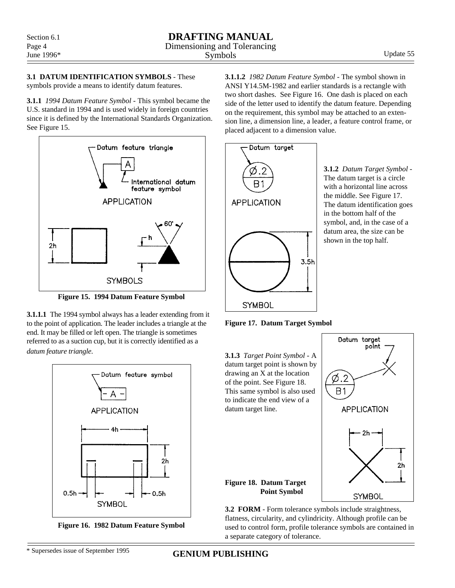$2<sub>h</sub>$ 

**3.1 DATUM IDENTIFICATION SYMBOLS** - These symbols provide a means to identify datum features.

**3.1.1** *1994 Datum Feature Symbol* - This symbol became the U.S. standard in 1994 and is used widely in foreign countries since it is defined by the International Standards Organization. See Figure 15.



**Figure 15. 1994 Datum Feature Symbol**

**3.1.1.1** The 1994 symbol always has a leader extending from it to the point of application. The leader includes a triangle at the end. It may be filled or left open. The triangle is sometimes referred to as a suction cup, but it is correctly identified as a *datum feature triangle*.



**Figure 16. 1982 Datum Feature Symbol**

**3.1.1.2** *1982 Datum Feature Symbol* - The symbol shown in ANSI Y14.5M-1982 and earlier standards is a rectangle with two short dashes. See Figure 16. One dash is placed on each side of the letter used to identify the datum feature. Depending on the requirement, this symbol may be attached to an extension line, a dimension line, a leader, a feature control frame, or placed adjacent to a dimension value.



**3.1.2** *Datum Target Symbol* - The datum target is a circle with a horizontal line across the middle. See Figure 17. The datum identification goes in the bottom half of the symbol, and, in the case of a datum area, the size can be shown in the top half.

**Figure 17. Datum Target Symbol**



**3.2 FORM** - Form tolerance symbols include straightness, flatness, circularity, and cylindricity. Although profile can be used to control form, profile tolerance symbols are contained in a separate category of tolerance.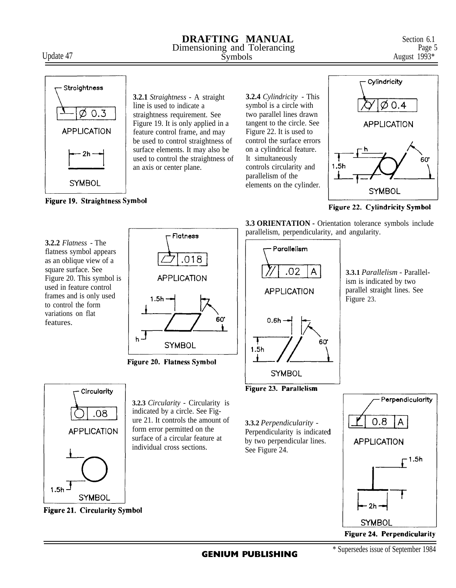# **DRAFTING MANUAL** Section 6.1<br>
Imensioning and Tolerancing Page 5 Dimensioning and Tolerancing Page 1993\*<br>Symbols August 1993\* Update 47 August 1993\*



Figure 19. Straightness Symbol

**3.2.1** *Straightness -* A straight line is used to indicate a straightness requirement. See Figure 19. It is only applied in a feature control frame, and may be used to control straightness of surface elements. It may also be used to control the straightness of an axis or center plane.

**3.2.4** *Cylindricity* - This symbol is a circle with two parallel lines drawn tangent to the circle. See Figure 22. It is used to control the surface errors on a cylindrical feature. It simultaneously controls circularity and parallelism of the elements on the cylinder.



Figure 22. Cylindricity Symbol

**3.2.2** *Flatness* - The flatness symbol appears as an oblique view of a square surface. See Figure 20. This symbol is used in feature control frames and is only used to control the form variations on flat features.



Figure 20. Flatness Symbol



**3.2.3** *Circularity -* Circularity is indicated by a circle. See Figure 21. It controls the amount of form error permitted on the surface of a circular feature at individual cross sections.

**3.3 ORIENTATION -** Orientation tolerance symbols include parallelism, perpendicularity, and angularity.



**3.3.1** *Parallelism -* Parallelism is indicated by two parallel straight lines. See Figure 23.





Figure 24. Perpendicularity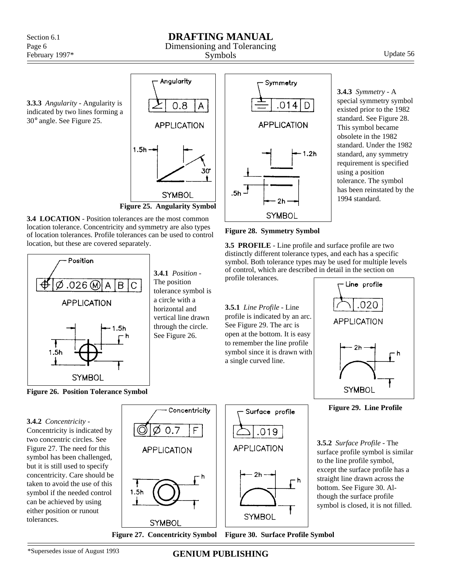# **DRAFTING MANUAL**

# Dimensioning and Tolerancing

Symbols Update 56

**3.3.3** *Angularity* - Angularity is indicated by two lines forming a 30° angle. See Figure 25.



Angularity





**3.4.1** *Position* - The position tolerance symbol is a circle with a horizontal and vertical line drawn through the circle. See Figure 26.



**3.4.3** *Symmetry* - A special symmetry symbol existed prior to the 1982 standard. See Figure 28. This symbol became obsolete in the 1982 standard. Under the 1982 standard, any symmetry requirement is specified using a position tolerance. The symbol has been reinstated by the 1994 standard.

#### **Figure 28. Symmetry Symbol**

**3.5 PROFILE** - Line profile and surface profile are two distinctly different tolerance types, and each has a specific symbol. Both tolerance types may be used for multiple levels of control, which are described in detail in the section on profile tolerances.

**3.5.1** *Line Profile* - Line profile is indicated by an arc. See Figure 29. The arc is open at the bottom. It is easy to remember the line profile symbol since it is drawn with a single curved line.

– h



**Figure 29. Line Profile**

**3.5.2** *Surface Profile* - The surface profile symbol is similar to the line profile symbol, except the surface profile has a straight line drawn across the bottom. See Figure 30. Although the surface profile symbol is closed, it is not filled.

**Figure 26. Position Tolerance Symbol**

**3.4.2** *Concentricity* - Concentricity is indicated by two concentric circles. See Figure 27. The need for this symbol has been challenged, but it is still used to specify concentricity. Care should be taken to avoid the use of this symbol if the needed control can be achieved by using either position or runout tolerances.

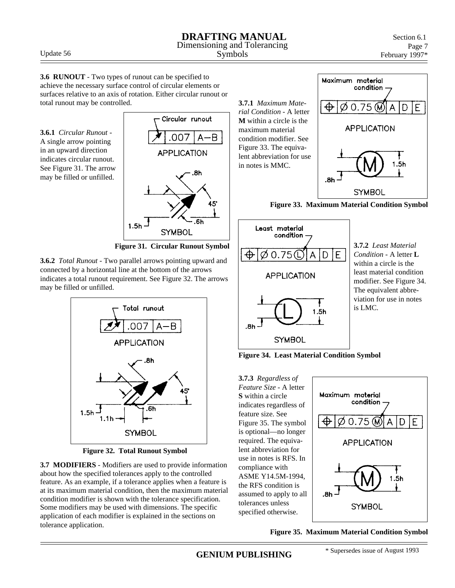**DRAFTING MANUAL** Dimensioning and Tolerancing

**3.6.1** *Circular Runout* - A single arrow pointing in an upward direction indicates circular runout. See Figure 31. The arrow may be filled or unfilled.

total runout may be controlled.



 **Figure 31. Circular Runout Symbol**

**3.6.2** *Total Runout* - Two parallel arrows pointing upward and connected by a horizontal line at the bottom of the arrows indicates a total runout requirement. See Figure 32. The arrows may be filled or unfilled.

**3.6 RUNOUT** - Two types of runout can be specified to achieve the necessary surface control of circular elements or surfaces relative to an axis of rotation. Either circular runout or



**Figure 32. Total Runout Symbol**

**3.7 MODIFIERS** - Modifiers are used to provide information about how the specified tolerances apply to the controlled feature. As an example, if a tolerance applies when a feature is at its maximum material condition, then the maximum material condition modifier is shown with the tolerance specification. Some modifiers may be used with dimensions. The specific application of each modifier is explained in the sections on tolerance application.



 **Figure 33. Maximum Material Condition Symbol**



**3.7.2** *Least Material Condition* - A letter **L** within a circle is the least material condition modifier. See Figure 34. The equivalent abbreviation for use in notes is LMC.

**Figure 34. Least Material Condition Symbol**

**3.7.3** *Regardless of Feature Size* - A letter **S** within a circle indicates regardless of feature size. See Figure 35. The symbol is optional—no longer required. The equivalent abbreviation for use in notes is RFS. In compliance with ASME Y14.5M-1994, the RFS condition is assumed to apply to all tolerances unless specified otherwise.



**Figure 35. Maximum Material Condition Symbol**